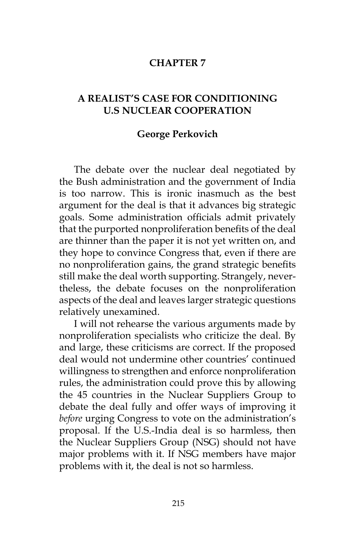## **CHAPTER 7**

## **A REALIST'S CASE FOR CONDITIONING U.S NUCLEAR COOPERATION**

## **George Perkovich**

The debate over the nuclear deal negotiated by the Bush administration and the government of India is too narrow. This is ironic inasmuch as the best argument for the deal is that it advances big strategic goals. Some administration officials admit privately that the purported nonproliferation benefits of the deal are thinner than the paper it is not yet written on, and they hope to convince Congress that, even if there are no nonproliferation gains, the grand strategic benefits still make the deal worth supporting. Strangely, nevertheless, the debate focuses on the nonproliferation aspects of the deal and leaves larger strategic questions relatively unexamined.

I will not rehearse the various arguments made by nonproliferation specialists who criticize the deal. By and large, these criticisms are correct. If the proposed deal would not undermine other countries' continued willingness to strengthen and enforce nonproliferation rules, the administration could prove this by allowing the 45 countries in the Nuclear Suppliers Group to debate the deal fully and offer ways of improving it *before* urging Congress to vote on the administration's proposal. If the U.S.-India deal is so harmless, then the Nuclear Suppliers Group (NSG) should not have major problems with it. If NSG members have major problems with it, the deal is not so harmless.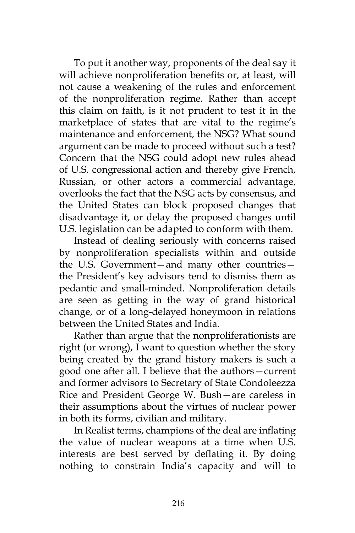To put it another way, proponents of the deal say it will achieve nonproliferation benefits or, at least, will not cause a weakening of the rules and enforcement of the nonproliferation regime. Rather than accept this claim on faith, is it not prudent to test it in the marketplace of states that are vital to the regime's maintenance and enforcement, the NSG? What sound argument can be made to proceed without such a test? Concern that the NSG could adopt new rules ahead of U.S. congressional action and thereby give French, Russian, or other actors a commercial advantage, overlooks the fact that the NSG acts by consensus, and the United States can block proposed changes that disadvantage it, or delay the proposed changes until U.S. legislation can be adapted to conform with them.

Instead of dealing seriously with concerns raised by nonproliferation specialists within and outside the U.S. Government—and many other countries the President's key advisors tend to dismiss them as pedantic and small-minded. Nonproliferation details are seen as getting in the way of grand historical change, or of a long-delayed honeymoon in relations between the United States and India.

Rather than argue that the nonproliferationists are right (or wrong), I want to question whether the story being created by the grand history makers is such a good one after all. I believe that the authors—current and former advisors to Secretary of State Condoleezza Rice and President George W. Bush—are careless in their assumptions about the virtues of nuclear power in both its forms, civilian and military.

In Realist terms, champions of the deal are inflating the value of nuclear weapons at a time when U.S. interests are best served by deflating it. By doing nothing to constrain India's capacity and will to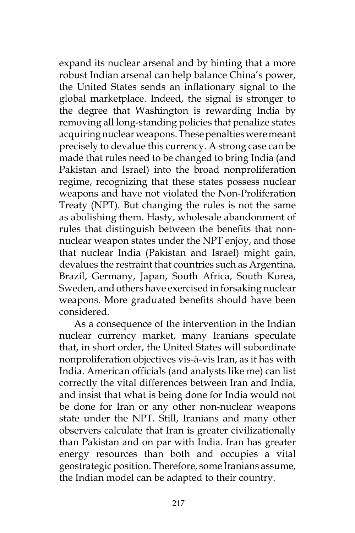expand its nuclear arsenal and by hinting that a more robust Indian arsenal can help balance China's power, the United States sends an inflationary signal to the global marketplace. Indeed, the signal is stronger to the degree that Washington is rewarding India by removing all long-standing policies that penalize states acquiring nuclear weapons. These penalties were meant precisely to devalue this currency. A strong case can be made that rules need to be changed to bring India (and Pakistan and Israel) into the broad nonproliferation regime, recognizing that these states possess nuclear weapons and have not violated the Non-Proliferation Treaty (NPT). But changing the rules is not the same as abolishing them. Hasty, wholesale abandonment of rules that distinguish between the benefits that nonnuclear weapon states under the NPT enjoy, and those that nuclear India (Pakistan and Israel) might gain, devalues the restraint that countries such as Argentina, Brazil, Germany, Japan, South Africa, South Korea, Sweden, and others have exercised in forsaking nuclear weapons. More graduated benefits should have been considered.

As a consequence of the intervention in the Indian nuclear currency market, many Iranians speculate that, in short order, the United States will subordinate nonproliferation objectives vis-à-vis Iran, as it has with India. American officials (and analysts like me) can list correctly the vital differences between Iran and India, and insist that what is being done for India would not be done for Iran or any other non-nuclear weapons state under the NPT. Still, Iranians and many other observers calculate that Iran is greater civilizationally than Pakistan and on par with India. Iran has greater energy resources than both and occupies a vital geostrategic position. Therefore, some Iranians assume, the Indian model can be adapted to their country.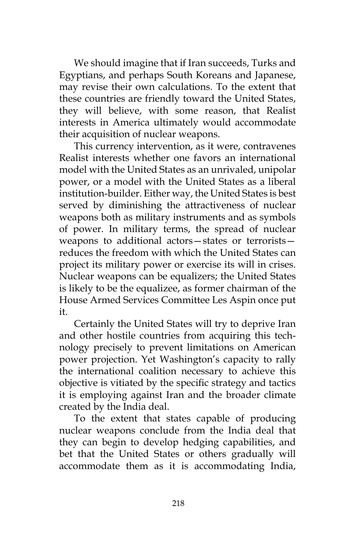We should imagine that if Iran succeeds, Turks and Egyptians, and perhaps South Koreans and Japanese, may revise their own calculations. To the extent that these countries are friendly toward the United States, they will believe, with some reason, that Realist interests in America ultimately would accommodate their acquisition of nuclear weapons.

This currency intervention, as it were, contravenes Realist interests whether one favors an international model with the United States as an unrivaled, unipolar power, or a model with the United States as a liberal institution-builder. Either way, the United States is best served by diminishing the attractiveness of nuclear weapons both as military instruments and as symbols of power. In military terms, the spread of nuclear weapons to additional actors—states or terrorists reduces the freedom with which the United States can project its military power or exercise its will in crises. Nuclear weapons can be equalizers; the United States is likely to be the equalizee, as former chairman of the House Armed Services Committee Les Aspin once put it.

Certainly the United States will try to deprive Iran and other hostile countries from acquiring this technology precisely to prevent limitations on American power projection. Yet Washington's capacity to rally the international coalition necessary to achieve this objective is vitiated by the specific strategy and tactics it is employing against Iran and the broader climate created by the India deal.

To the extent that states capable of producing nuclear weapons conclude from the India deal that they can begin to develop hedging capabilities, and bet that the United States or others gradually will accommodate them as it is accommodating India,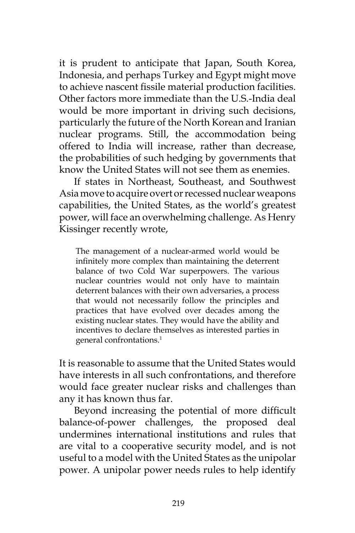it is prudent to anticipate that Japan, South Korea, Indonesia, and perhaps Turkey and Egypt might move to achieve nascent fissile material production facilities. Other factors more immediate than the U.S.-India deal would be more important in driving such decisions, particularly the future of the North Korean and Iranian nuclear programs. Still, the accommodation being offered to India will increase, rather than decrease, the probabilities of such hedging by governments that know the United States will not see them as enemies.

If states in Northeast, Southeast, and Southwest Asia move to acquire overt or recessed nuclear weapons capabilities, the United States, as the world's greatest power, will face an overwhelming challenge. As Henry Kissinger recently wrote,

The management of a nuclear-armed world would be infinitely more complex than maintaining the deterrent balance of two Cold War superpowers. The various nuclear countries would not only have to maintain deterrent balances with their own adversaries, a process that would not necessarily follow the principles and practices that have evolved over decades among the existing nuclear states. They would have the ability and incentives to declare themselves as interested parties in general confrontations.1

It is reasonable to assume that the United States would have interests in all such confrontations, and therefore would face greater nuclear risks and challenges than any it has known thus far.

Beyond increasing the potential of more difficult balance-of-power challenges, the proposed deal undermines international institutions and rules that are vital to a cooperative security model, and is not useful to a model with the United States as the unipolar power. A unipolar power needs rules to help identify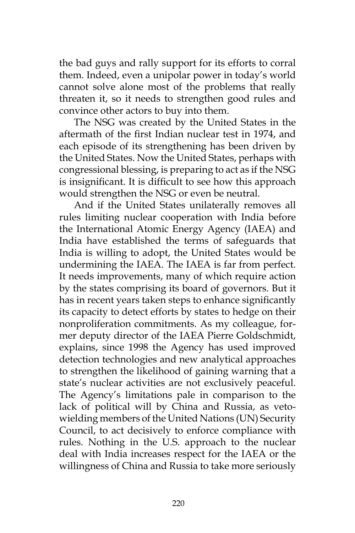the bad guys and rally support for its efforts to corral them. Indeed, even a unipolar power in today's world cannot solve alone most of the problems that really threaten it, so it needs to strengthen good rules and convince other actors to buy into them.

The NSG was created by the United States in the aftermath of the first Indian nuclear test in 1974, and each episode of its strengthening has been driven by the United States. Now the United States, perhaps with congressional blessing, is preparing to act as if the NSG is insignificant. It is difficult to see how this approach would strengthen the NSG or even be neutral.

And if the United States unilaterally removes all rules limiting nuclear cooperation with India before the International Atomic Energy Agency (IAEA) and India have established the terms of safeguards that India is willing to adopt, the United States would be undermining the IAEA. The IAEA is far from perfect. It needs improvements, many of which require action by the states comprising its board of governors. But it has in recent years taken steps to enhance significantly its capacity to detect efforts by states to hedge on their nonproliferation commitments. As my colleague, former deputy director of the IAEA Pierre Goldschmidt, explains, since 1998 the Agency has used improved detection technologies and new analytical approaches to strengthen the likelihood of gaining warning that a state's nuclear activities are not exclusively peaceful. The Agency's limitations pale in comparison to the lack of political will by China and Russia, as vetowielding members of the United Nations (UN) Security Council, to act decisively to enforce compliance with rules. Nothing in the U.S. approach to the nuclear deal with India increases respect for the IAEA or the willingness of China and Russia to take more seriously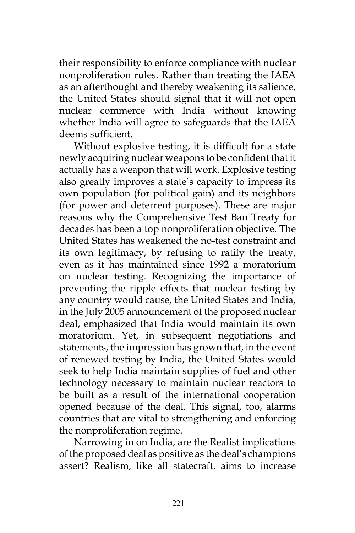their responsibility to enforce compliance with nuclear nonproliferation rules. Rather than treating the IAEA as an afterthought and thereby weakening its salience, the United States should signal that it will not open nuclear commerce with India without knowing whether India will agree to safeguards that the IAEA deems sufficient.

Without explosive testing, it is difficult for a state newly acquiring nuclear weapons to be confident that it actually has a weapon that will work. Explosive testing also greatly improves a state's capacity to impress its own population (for political gain) and its neighbors (for power and deterrent purposes). These are major reasons why the Comprehensive Test Ban Treaty for decades has been a top nonproliferation objective. The United States has weakened the no-test constraint and its own legitimacy, by refusing to ratify the treaty, even as it has maintained since 1992 a moratorium on nuclear testing. Recognizing the importance of preventing the ripple effects that nuclear testing by any country would cause, the United States and India, in the July 2005 announcement of the proposed nuclear deal, emphasized that India would maintain its own moratorium. Yet, in subsequent negotiations and statements, the impression has grown that, in the event of renewed testing by India, the United States would seek to help India maintain supplies of fuel and other technology necessary to maintain nuclear reactors to be built as a result of the international cooperation opened because of the deal. This signal, too, alarms countries that are vital to strengthening and enforcing the nonproliferation regime.

Narrowing in on India, are the Realist implications of the proposed deal as positive as the deal's champions assert? Realism, like all statecraft, aims to increase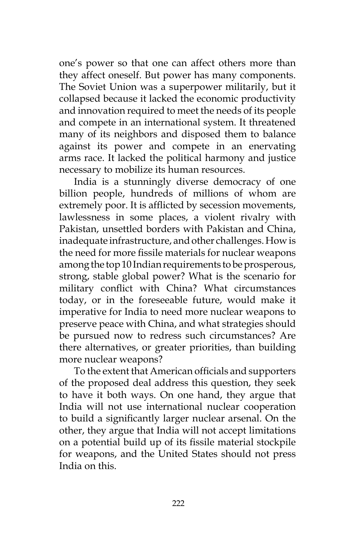one's power so that one can affect others more than they affect oneself. But power has many components. The Soviet Union was a superpower militarily, but it collapsed because it lacked the economic productivity and innovation required to meet the needs of its people and compete in an international system. It threatened many of its neighbors and disposed them to balance against its power and compete in an enervating arms race. It lacked the political harmony and justice necessary to mobilize its human resources.

India is a stunningly diverse democracy of one billion people, hundreds of millions of whom are extremely poor. It is afflicted by secession movements, lawlessness in some places, a violent rivalry with Pakistan, unsettled borders with Pakistan and China, inadequate infrastructure, and other challenges. How is the need for more fissile materials for nuclear weapons among the top 10 Indian requirements to be prosperous, strong, stable global power? What is the scenario for military conflict with China? What circumstances today, or in the foreseeable future, would make it imperative for India to need more nuclear weapons to preserve peace with China, and what strategies should be pursued now to redress such circumstances? Are there alternatives, or greater priorities, than building more nuclear weapons?

To the extent that American officials and supporters of the proposed deal address this question, they seek to have it both ways. On one hand, they argue that India will not use international nuclear cooperation to build a significantly larger nuclear arsenal. On the other, they argue that India will not accept limitations on a potential build up of its fissile material stockpile for weapons, and the United States should not press India on this.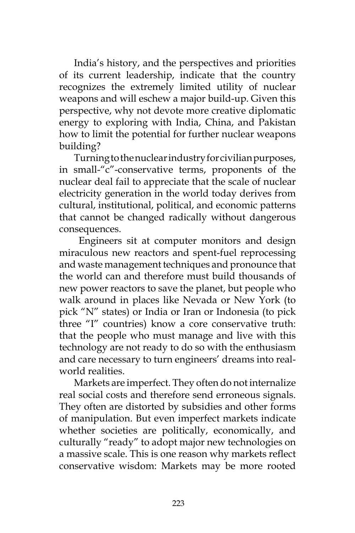India's history, and the perspectives and priorities of its current leadership, indicate that the country recognizes the extremely limited utility of nuclear weapons and will eschew a major build-up. Given this perspective, why not devote more creative diplomatic energy to exploring with India, China, and Pakistan how to limit the potential for further nuclear weapons building?

Turning to the nuclear industry for civilian purposes, in small-"c"-conservative terms, proponents of the nuclear deal fail to appreciate that the scale of nuclear electricity generation in the world today derives from cultural, institutional, political, and economic patterns that cannot be changed radically without dangerous consequences.

Engineers sit at computer monitors and design miraculous new reactors and spent-fuel reprocessing and waste management techniques and pronounce that the world can and therefore must build thousands of new power reactors to save the planet, but people who walk around in places like Nevada or New York (to pick "N" states) or India or Iran or Indonesia (to pick three "I" countries) know a core conservative truth: that the people who must manage and live with this technology are not ready to do so with the enthusiasm and care necessary to turn engineers' dreams into realworld realities.

Markets are imperfect. They often do not internalize real social costs and therefore send erroneous signals. They often are distorted by subsidies and other forms of manipulation. But even imperfect markets indicate whether societies are politically, economically, and culturally "ready" to adopt major new technologies on a massive scale. This is one reason why markets reflect conservative wisdom: Markets may be more rooted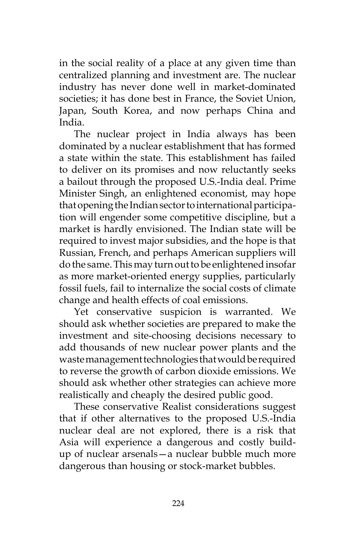in the social reality of a place at any given time than centralized planning and investment are. The nuclear industry has never done well in market-dominated societies; it has done best in France, the Soviet Union, Japan, South Korea, and now perhaps China and India.

The nuclear project in India always has been dominated by a nuclear establishment that has formed a state within the state. This establishment has failed to deliver on its promises and now reluctantly seeks a bailout through the proposed U.S.-India deal. Prime Minister Singh, an enlightened economist, may hope that opening the Indian sector to international participation will engender some competitive discipline, but a market is hardly envisioned. The Indian state will be required to invest major subsidies, and the hope is that Russian, French, and perhaps American suppliers will do the same. This may turn out to be enlightened insofar as more market-oriented energy supplies, particularly fossil fuels, fail to internalize the social costs of climate change and health effects of coal emissions.

Yet conservative suspicion is warranted. We should ask whether societies are prepared to make the investment and site-choosing decisions necessary to add thousands of new nuclear power plants and the waste management technologies that would be required to reverse the growth of carbon dioxide emissions. We should ask whether other strategies can achieve more realistically and cheaply the desired public good.

These conservative Realist considerations suggest that if other alternatives to the proposed U.S.-India nuclear deal are not explored, there is a risk that Asia will experience a dangerous and costly buildup of nuclear arsenals—a nuclear bubble much more dangerous than housing or stock-market bubbles.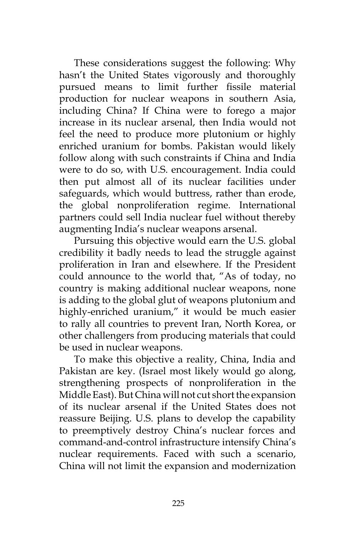These considerations suggest the following: Why hasn't the United States vigorously and thoroughly pursued means to limit further fissile material production for nuclear weapons in southern Asia, including China? If China were to forego a major increase in its nuclear arsenal, then India would not feel the need to produce more plutonium or highly enriched uranium for bombs. Pakistan would likely follow along with such constraints if China and India were to do so, with U.S. encouragement. India could then put almost all of its nuclear facilities under safeguards, which would buttress, rather than erode, the global nonproliferation regime. International partners could sell India nuclear fuel without thereby augmenting India's nuclear weapons arsenal.

Pursuing this objective would earn the U.S. global credibility it badly needs to lead the struggle against proliferation in Iran and elsewhere. If the President could announce to the world that, "As of today, no country is making additional nuclear weapons, none is adding to the global glut of weapons plutonium and highly-enriched uranium," it would be much easier to rally all countries to prevent Iran, North Korea, or other challengers from producing materials that could be used in nuclear weapons.

To make this objective a reality, China, India and Pakistan are key. (Israel most likely would go along, strengthening prospects of nonproliferation in the Middle East). But China will not cut short the expansion of its nuclear arsenal if the United States does not reassure Beijing. U.S. plans to develop the capability to preemptively destroy China's nuclear forces and command-and-control infrastructure intensify China's nuclear requirements. Faced with such a scenario, China will not limit the expansion and modernization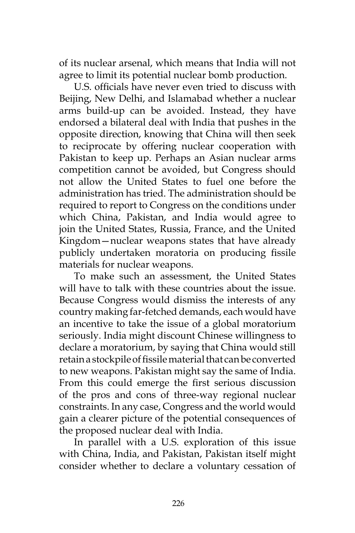of its nuclear arsenal, which means that India will not agree to limit its potential nuclear bomb production.

U.S. officials have never even tried to discuss with Beijing, New Delhi, and Islamabad whether a nuclear arms build-up can be avoided. Instead, they have endorsed a bilateral deal with India that pushes in the opposite direction, knowing that China will then seek to reciprocate by offering nuclear cooperation with Pakistan to keep up. Perhaps an Asian nuclear arms competition cannot be avoided, but Congress should not allow the United States to fuel one before the administration has tried. The administration should be required to report to Congress on the conditions under which China, Pakistan, and India would agree to join the United States, Russia, France, and the United Kingdom—nuclear weapons states that have already publicly undertaken moratoria on producing fissile materials for nuclear weapons.

To make such an assessment, the United States will have to talk with these countries about the issue. Because Congress would dismiss the interests of any country making far-fetched demands, each would have an incentive to take the issue of a global moratorium seriously. India might discount Chinese willingness to declare a moratorium, by saying that China would still retain a stockpile of fissile material that can be converted to new weapons. Pakistan might say the same of India. From this could emerge the first serious discussion of the pros and cons of three-way regional nuclear constraints. In any case, Congress and the world would gain a clearer picture of the potential consequences of the proposed nuclear deal with India.

In parallel with a U.S. exploration of this issue with China, India, and Pakistan, Pakistan itself might consider whether to declare a voluntary cessation of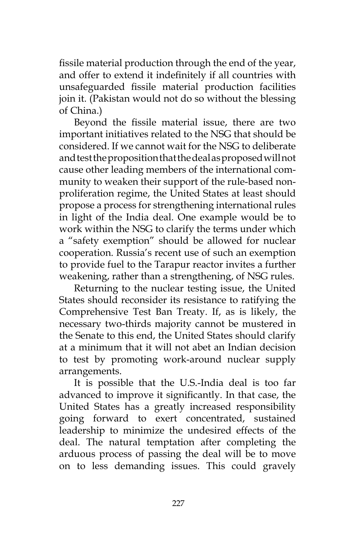fissile material production through the end of the year, and offer to extend it indefinitely if all countries with unsafeguarded fissile material production facilities join it. (Pakistan would not do so without the blessing of China.)

Beyond the fissile material issue, there are two important initiatives related to the NSG that should be considered. If we cannot wait for the NSG to deliberate and test the proposition that the deal as proposed will not cause other leading members of the international community to weaken their support of the rule-based nonproliferation regime, the United States at least should propose a process for strengthening international rules in light of the India deal. One example would be to work within the NSG to clarify the terms under which a "safety exemption" should be allowed for nuclear cooperation. Russia's recent use of such an exemption to provide fuel to the Tarapur reactor invites a further weakening, rather than a strengthening, of NSG rules.

Returning to the nuclear testing issue, the United States should reconsider its resistance to ratifying the Comprehensive Test Ban Treaty. If, as is likely, the necessary two-thirds majority cannot be mustered in the Senate to this end, the United States should clarify at a minimum that it will not abet an Indian decision to test by promoting work-around nuclear supply arrangements.

It is possible that the U.S.-India deal is too far advanced to improve it significantly. In that case, the United States has a greatly increased responsibility going forward to exert concentrated, sustained leadership to minimize the undesired effects of the deal. The natural temptation after completing the arduous process of passing the deal will be to move on to less demanding issues. This could gravely